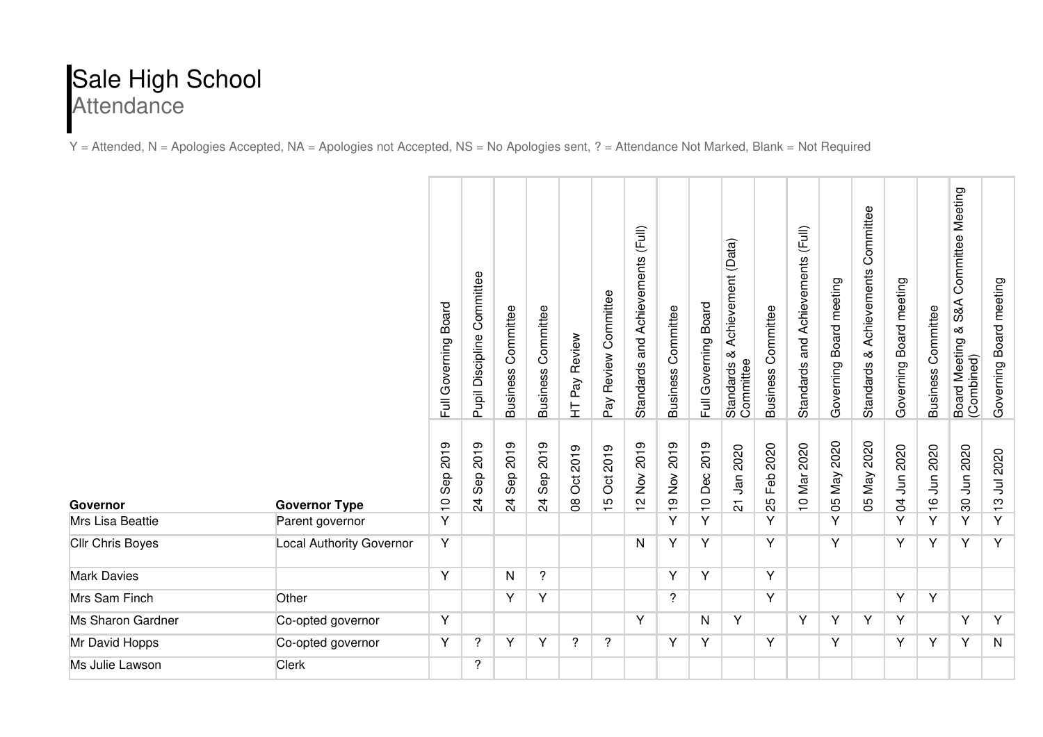## Sale High School **Attendance**

Y = Attended, N = Apologies Accepted, NA = Apologies not Accepted, NS = No Apologies sent, ? = Attendance Not Marked, Blank = Not Required

|                         |                                 | Board<br>Full Governing      | Committee<br>Pupil Discipline | Committee<br><b>Business</b>                | Committee<br><b>Business</b> | HT Pay Review  | Pay Review Committee       | and Achievements (Full)<br><b>Standards</b>                         | <b>Business Committee</b> | Board<br>Full Governing             | Achievement (Data)<br>Standards &<br>Committee | Committee<br><b>Business</b> | (Ful)<br>and Achievements<br><b>Standards</b> | Governing Board meeting | Committee<br>Achievements<br>య<br><b>Standards</b> | Governing Board meeting | Committee<br><b>Business</b> | Committee Meeting<br>S&A<br>∞<br>Board Meeting &<br>(Combined) | Board meeting<br>Governing |  |
|-------------------------|---------------------------------|------------------------------|-------------------------------|---------------------------------------------|------------------------------|----------------|----------------------------|---------------------------------------------------------------------|---------------------------|-------------------------------------|------------------------------------------------|------------------------------|-----------------------------------------------|-------------------------|----------------------------------------------------|-------------------------|------------------------------|----------------------------------------------------------------|----------------------------|--|
| Governor                | <b>Governor Type</b>            | 2019<br>Sep<br>$\frac{1}{1}$ | 2019<br>Sep<br>$\overline{2}$ | 2019<br>Sep <sup>-</sup><br>$\overline{24}$ | 2019<br>Sep<br>$\frac{4}{3}$ | Oct 2019<br>80 | 2019<br>ð<br>$\frac{5}{1}$ | 2019<br>$\stackrel{\textstyle{>}}{\textstyle\sim}$<br>$\frac{N}{L}$ | 2019<br>19 Nov            | 2019<br>Dec<br>$\frac{1}{\sqrt{2}}$ | Jan 2020<br>$\overline{\Omega}$                | 2020<br>Feb<br>25            | 10 Mar 2020                                   | 2020<br>05 May          | 2020<br>05 May 2                                   | 04 Jun 2020             | Jun 2020<br>$\frac{6}{1}$    | 30 Jun 2020                                                    | Jul 2020<br>$\frac{1}{2}$  |  |
| Mrs Lisa Beattie        | Parent governor                 | Y                            |                               |                                             |                              |                |                            |                                                                     | Y                         | Y                                   |                                                | Y                            |                                               | Y                       |                                                    | Y                       | Υ                            | Y                                                              | Y                          |  |
| <b>Cllr Chris Boyes</b> | <b>Local Authority Governor</b> | Y                            |                               |                                             |                              |                |                            | N                                                                   | Y                         | Y                                   |                                                | Y                            |                                               | Y                       |                                                    | Y                       | Y                            | Y                                                              | Y                          |  |
| <b>Mark Davies</b>      |                                 | Y                            |                               | N                                           | $\overline{?}$               |                |                            |                                                                     | Y                         | Y                                   |                                                | Y                            |                                               |                         |                                                    |                         |                              |                                                                |                            |  |
| Mrs Sam Finch           | Other                           |                              |                               | Ÿ                                           | Y                            |                |                            |                                                                     | $\overline{\phantom{a}}$  |                                     |                                                | Y                            |                                               |                         |                                                    | Ÿ                       | Y                            |                                                                |                            |  |
| Ms Sharon Gardner       | Co-opted governor               | Υ                            |                               |                                             |                              |                |                            | Y                                                                   |                           | N                                   | Y                                              |                              | Y                                             | Υ                       | Y                                                  | Y                       |                              | Y                                                              | $\overline{Y}$             |  |
| Mr David Hopps          | Co-opted governor               | Y                            | ?                             | Y                                           | Y                            | $\overline{?}$ | $\overline{?}$             |                                                                     | Y                         | Υ                                   |                                                | Y                            |                                               | Y                       |                                                    | Y                       | Y                            | Y                                                              | $\mathsf{N}$               |  |
| Ms Julie Lawson         | <b>Clerk</b>                    |                              | ?                             |                                             |                              |                |                            |                                                                     |                           |                                     |                                                |                              |                                               |                         |                                                    |                         |                              |                                                                |                            |  |
|                         |                                 |                              |                               |                                             |                              |                |                            |                                                                     |                           |                                     |                                                |                              |                                               |                         |                                                    |                         |                              |                                                                |                            |  |